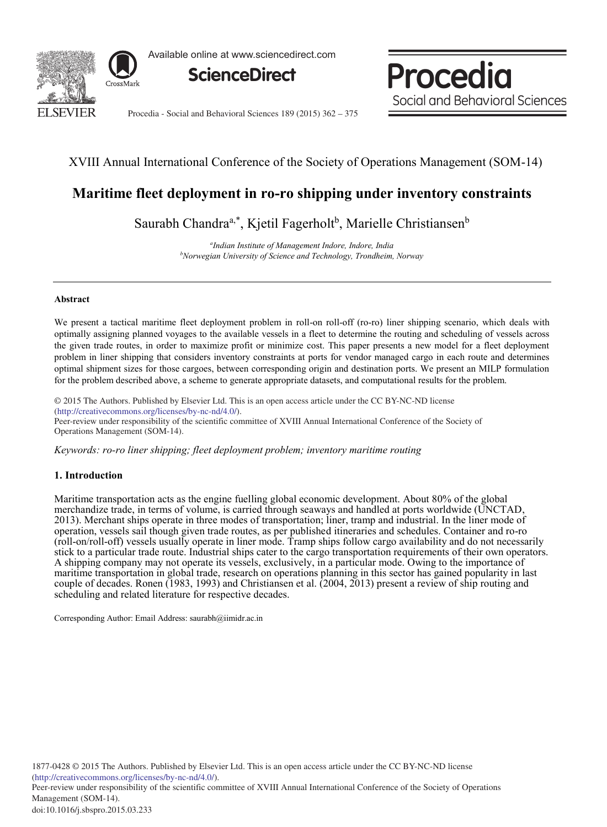

Available online at www.sciencedirect.com



Procedia Social and Behavioral Sciences

Procedia - Social and Behavioral Sciences 189 (2015) 362 - 375

# XVIII Annual International Conference of the Society of Operations Management (SOM-14)

# **Maritime fleet deployment in ro-ro shipping under inventory constraints**

Saurabh Chandra<sup>a,\*</sup>, Kjetil Fagerholt<sup>b</sup>, Marielle Christiansen<sup>b</sup>

*a Indian Institute of Management Indore, Indore, India b Norwegian University of Science and Technology, Trondheim, Norway* 

## **Abstract**

We present a tactical maritime fleet deployment problem in roll-on roll-off (ro-ro) liner shipping scenario, which deals with optimally assigning planned voyages to the available vessels in a fleet to determine the routing and scheduling of vessels across the given trade routes, in order to maximize profit or minimize cost. This paper presents a new model for a fleet deployment problem in liner shipping that considers inventory constraints at ports for vendor managed cargo in each route and determines optimal shipment sizes for those cargoes, between corresponding origin and destination ports. We present an MILP formulation for the problem described above, a scheme to generate appropriate datasets, and computational results for the problem.

© 2015 The Authors. Published by Elsevier Ltd. © 2015 The Authors. Published by Elsevier Ltd. This is an open access article under the CC BY-NC-ND license (imp://creamvecommons.org/ncenses/oy-nc-nd/4.0/).<br>Peer-review under responsibility of the scientific committee of XVIII Annual International Conference of the Society of (http://creativecommons.org/licenses/by-nc-nd/4.0/).

Operations Management (SOM-14). Operations Management (SOM-14).

*Keywords: ro-ro liner shipping; fleet deployment problem; inventory maritime routing*

# **1. Introduction**

Maritime transportation acts as the engine fuelling global economic development. About 80% of the global merchandize trade, in terms of volume, is carried through seaways and handled at ports worldwide (UNCTAD, 2013). Merchant ships operate in three modes of transportation; liner, tramp and industrial. In the liner mode of operation, vessels sail though given trade routes, as per published itineraries and schedules. Container and ro-ro (roll-on/roll-off) vessels usually operate in liner mode. Tramp ships follow cargo availability and do not necessarily stick to a particular trade route. Industrial ships cater to the cargo transportation requirements of their own operators. A shipping company may not operate its vessels, exclusively, in a particular mode. Owing to the importance of maritime transportation in global trade, research on operations planning in this sector has gained popularity in last couple of decades. Ronen (1983, 1993) and Christiansen et al. (2004, 2013) present a review of ship routing and scheduling and related literature for respective decades.

Corresponding Author: Email Address: saurabh@iimidr.ac.in

Peer-review under responsibility of the scientific committee of XVIII Annual International Conference of the Society of Operations Management (SOM-14).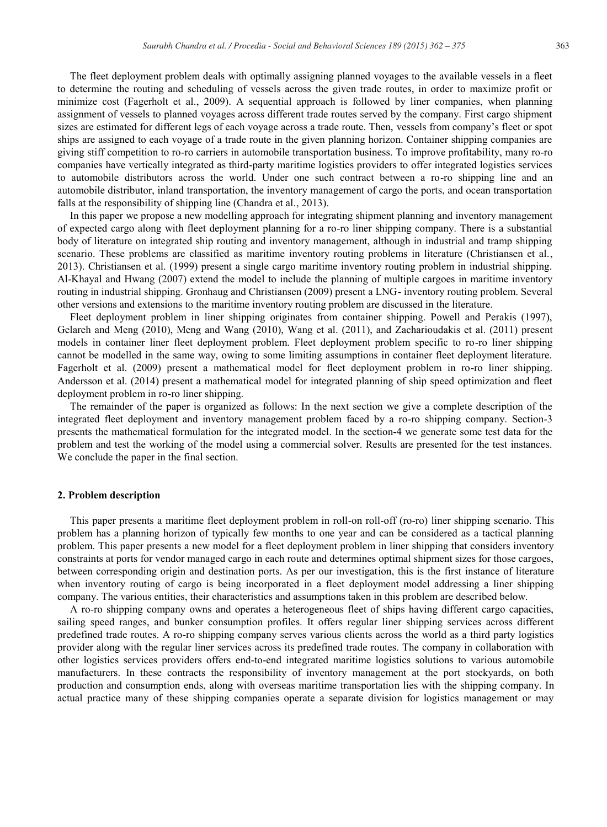The fleet deployment problem deals with optimally assigning planned voyages to the available vessels in a fleet to determine the routing and scheduling of vessels across the given trade routes, in order to maximize profit or minimize cost (Fagerholt et al., 2009). A sequential approach is followed by liner companies, when planning assignment of vessels to planned voyages across different trade routes served by the company. First cargo shipment sizes are estimated for different legs of each voyage across a trade route. Then, vessels from company's fleet or spot ships are assigned to each voyage of a trade route in the given planning horizon. Container shipping companies are giving stiff competition to ro-ro carriers in automobile transportation business. To improve profitability, many ro-ro companies have vertically integrated as third-party maritime logistics providers to offer integrated logistics services to automobile distributors across the world. Under one such contract between a ro-ro shipping line and an automobile distributor, inland transportation, the inventory management of cargo the ports, and ocean transportation falls at the responsibility of shipping line (Chandra et al., 2013).

In this paper we propose a new modelling approach for integrating shipment planning and inventory management of expected cargo along with fleet deployment planning for a ro-ro liner shipping company. There is a substantial body of literature on integrated ship routing and inventory management, although in industrial and tramp shipping scenario. These problems are classified as maritime inventory routing problems in literature (Christiansen et al., 2013). Christiansen et al. (1999) present a single cargo maritime inventory routing problem in industrial shipping. Al-Khayal and Hwang (2007) extend the model to include the planning of multiple cargoes in maritime inventory routing in industrial shipping. Gronhaug and Christiansen (2009) present a LNG- inventory routing problem. Several other versions and extensions to the maritime inventory routing problem are discussed in the literature.

Fleet deployment problem in liner shipping originates from container shipping. Powell and Perakis (1997), Gelareh and Meng (2010), Meng and Wang (2010), Wang et al. (2011), and Zacharioudakis et al. (2011) present models in container liner fleet deployment problem. Fleet deployment problem specific to ro-ro liner shipping cannot be modelled in the same way, owing to some limiting assumptions in container fleet deployment literature. Fagerholt et al. (2009) present a mathematical model for fleet deployment problem in ro-ro liner shipping. Andersson et al. (2014) present a mathematical model for integrated planning of ship speed optimization and fleet deployment problem in ro-ro liner shipping.

The remainder of the paper is organized as follows: In the next section we give a complete description of the integrated fleet deployment and inventory management problem faced by a ro-ro shipping company. Section-3 presents the mathematical formulation for the integrated model. In the section-4 we generate some test data for the problem and test the working of the model using a commercial solver. Results are presented for the test instances. We conclude the paper in the final section.

#### **2. Problem description**

This paper presents a maritime fleet deployment problem in roll-on roll-off (ro-ro) liner shipping scenario. This problem has a planning horizon of typically few months to one year and can be considered as a tactical planning problem. This paper presents a new model for a fleet deployment problem in liner shipping that considers inventory constraints at ports for vendor managed cargo in each route and determines optimal shipment sizes for those cargoes, between corresponding origin and destination ports. As per our investigation, this is the first instance of literature when inventory routing of cargo is being incorporated in a fleet deployment model addressing a liner shipping company. The various entities, their characteristics and assumptions taken in this problem are described below.

A ro-ro shipping company owns and operates a heterogeneous fleet of ships having different cargo capacities, sailing speed ranges, and bunker consumption profiles. It offers regular liner shipping services across different predefined trade routes. A ro-ro shipping company serves various clients across the world as a third party logistics provider along with the regular liner services across its predefined trade routes. The company in collaboration with other logistics services providers offers end-to-end integrated maritime logistics solutions to various automobile manufacturers. In these contracts the responsibility of inventory management at the port stockyards, on both production and consumption ends, along with overseas maritime transportation lies with the shipping company. In actual practice many of these shipping companies operate a separate division for logistics management or may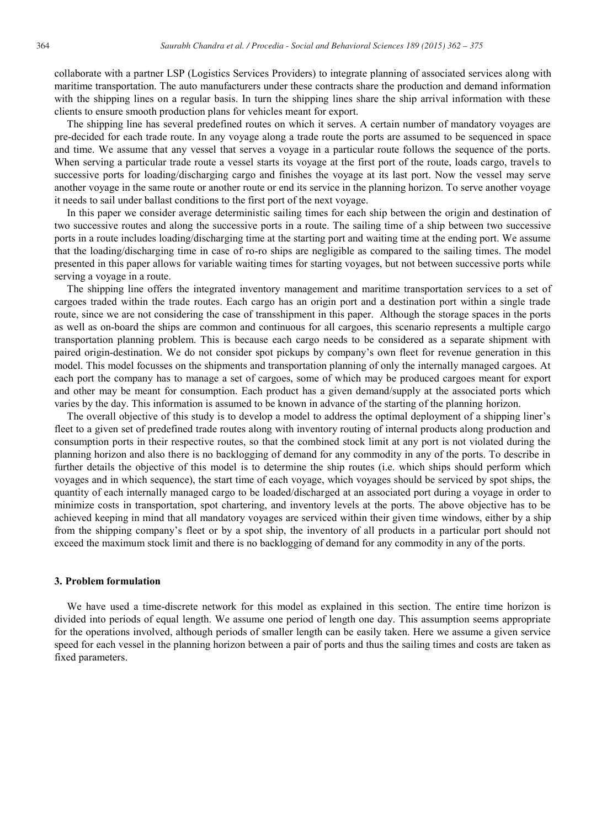collaborate with a partner LSP (Logistics Services Providers) to integrate planning of associated services along with maritime transportation. The auto manufacturers under these contracts share the production and demand information with the shipping lines on a regular basis. In turn the shipping lines share the ship arrival information with these clients to ensure smooth production plans for vehicles meant for export.

The shipping line has several predefined routes on which it serves. A certain number of mandatory voyages are pre-decided for each trade route. In any voyage along a trade route the ports are assumed to be sequenced in space and time. We assume that any vessel that serves a voyage in a particular route follows the sequence of the ports. When serving a particular trade route a vessel starts its voyage at the first port of the route, loads cargo, travels to successive ports for loading/discharging cargo and finishes the voyage at its last port. Now the vessel may serve another voyage in the same route or another route or end its service in the planning horizon. To serve another voyage it needs to sail under ballast conditions to the first port of the next voyage.

In this paper we consider average deterministic sailing times for each ship between the origin and destination of two successive routes and along the successive ports in a route. The sailing time of a ship between two successive ports in a route includes loading/discharging time at the starting port and waiting time at the ending port. We assume that the loading/discharging time in case of ro-ro ships are negligible as compared to the sailing times. The model presented in this paper allows for variable waiting times for starting voyages, but not between successive ports while serving a voyage in a route.

The shipping line offers the integrated inventory management and maritime transportation services to a set of cargoes traded within the trade routes. Each cargo has an origin port and a destination port within a single trade route, since we are not considering the case of transshipment in this paper. Although the storage spaces in the ports as well as on-board the ships are common and continuous for all cargoes, this scenario represents a multiple cargo transportation planning problem. This is because each cargo needs to be considered as a separate shipment with paired origin-destination. We do not consider spot pickups by company's own fleet for revenue generation in this model. This model focusses on the shipments and transportation planning of only the internally managed cargoes. At each port the company has to manage a set of cargoes, some of which may be produced cargoes meant for export and other may be meant for consumption. Each product has a given demand/supply at the associated ports which varies by the day. This information is assumed to be known in advance of the starting of the planning horizon.

The overall objective of this study is to develop a model to address the optimal deployment of a shipping liner's fleet to a given set of predefined trade routes along with inventory routing of internal products along production and consumption ports in their respective routes, so that the combined stock limit at any port is not violated during the planning horizon and also there is no backlogging of demand for any commodity in any of the ports. To describe in further details the objective of this model is to determine the ship routes (i.e. which ships should perform which voyages and in which sequence), the start time of each voyage, which voyages should be serviced by spot ships, the quantity of each internally managed cargo to be loaded/discharged at an associated port during a voyage in order to minimize costs in transportation, spot chartering, and inventory levels at the ports. The above objective has to be achieved keeping in mind that all mandatory voyages are serviced within their given time windows, either by a ship from the shipping company's fleet or by a spot ship, the inventory of all products in a particular port should not exceed the maximum stock limit and there is no backlogging of demand for any commodity in any of the ports.

#### **3. Problem formulation**

We have used a time-discrete network for this model as explained in this section. The entire time horizon is divided into periods of equal length. We assume one period of length one day. This assumption seems appropriate for the operations involved, although periods of smaller length can be easily taken. Here we assume a given service speed for each vessel in the planning horizon between a pair of ports and thus the sailing times and costs are taken as fixed parameters.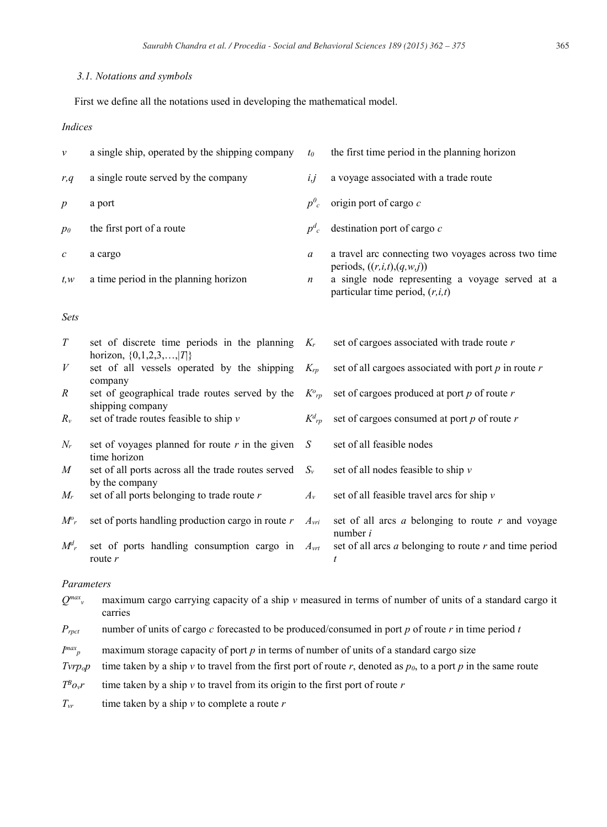## *3.1. Notations and symbols*

First we define all the notations used in developing the mathematical model.

# *Indices*

| ν                  | a single ship, operated by the shipping company                             | $t_0$              | the first time period in the planning horizon                                                                          |
|--------------------|-----------------------------------------------------------------------------|--------------------|------------------------------------------------------------------------------------------------------------------------|
| r, q               | a single route served by the company                                        | i, j               | a voyage associated with a trade route                                                                                 |
| $\boldsymbol{p}$   | a port                                                                      | $p^0_c$            | origin port of cargo c                                                                                                 |
| p <sub>0</sub>     | the first port of a route                                                   | $p^d$ <sub>c</sub> | destination port of cargo $c$                                                                                          |
| с                  | a cargo                                                                     | a                  | a travel arc connecting two voyages across two time                                                                    |
| t, w               | a time period in the planning horizon                                       | $\boldsymbol{n}$   | periods, $((r,i,t),(q,w,j))$<br>a single node representing a voyage served at a<br>particular time period, $(r, i, t)$ |
| Sets               |                                                                             |                    |                                                                                                                        |
| T                  | set of discrete time periods in the planning<br>horizon, $\{0,1,2,3,, T \}$ | $K_r$              | set of cargoes associated with trade route $r$                                                                         |
| V                  | set of all vessels operated by the shipping<br>company                      | $K_{rp}$           | set of all cargoes associated with port $p$ in route $r$                                                               |
| R                  | set of geographical trade routes served by the<br>shipping company          | $K^o{}_{rp}$       | set of cargoes produced at port $p$ of route $r$                                                                       |
| $R_{\nu}$          | set of trade routes feasible to ship $v$                                    | $K^d{}_{rp}$       | set of cargoes consumed at port $p$ of route $r$                                                                       |
| $N_r$              | set of voyages planned for route $r$ in the given<br>time horizon           | S                  | set of all feasible nodes                                                                                              |
| $\boldsymbol{M}$   | set of all ports across all the trade routes served<br>by the company       | $S_{\nu}$          | set of all nodes feasible to ship $v$                                                                                  |
| $M_r$              | set of all ports belonging to trade route $r$                               | $A_{v}$            | set of all feasible travel arcs for ship $\nu$                                                                         |
| $M^o{}_r$          | set of ports handling production cargo in route $r$                         | $A_{vri}$          | set of all arcs $a$ belonging to route $r$ and voyage<br>number $i$                                                    |
| $M^d$ <sub>r</sub> | set of ports handling consumption cargo in<br>route $r$                     | $A_{vrt}$          | set of all arcs $a$ belonging to route $r$ and time period<br>$\boldsymbol{t}$                                         |
|                    | Parameters                                                                  |                    |                                                                                                                        |

 $Q^{max}$  maximum cargo carrying capacity of a ship *v* measured in terms of number of units of a standard cargo it carries

*Prpct* number of units of cargo *c* forecasted to be produced/consumed in port *p* of route *r* in time period *t*

 $I^{max}$ <sub>p</sub> *maximum storage capacity of port p* in terms of number of units of a standard cargo size

*Tvrp<sub>o</sub>p* time taken by a ship *v* to travel from the first port of route *r*, denoted as  $p_0$ , to a port *p* in the same route

 $T^B o_v r$  time taken by a ship *v* to travel from its origin to the first port of route *r* 

 $T_{vr}$  time taken by a ship *v* to complete a route *r*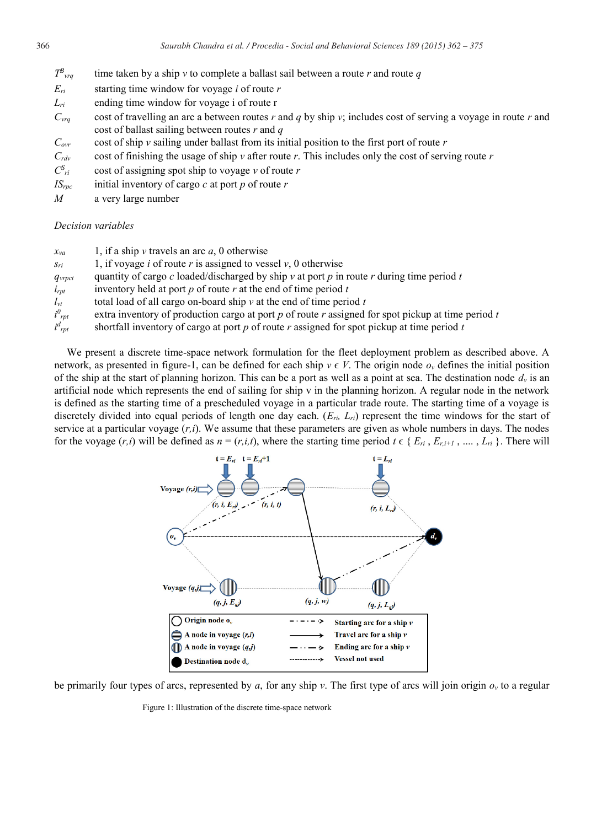| $T^B_{\ \ \nu r q}$ | time taken by a ship v to complete a ballast sail between a route r and route q |  |
|---------------------|---------------------------------------------------------------------------------|--|
|                     |                                                                                 |  |

- *Eri* starting time window for voyage *i* of route *r*
- *L<sub>ri</sub>* ending time window for voyage i of route r
- *Cvrq* cost of travelling an arc a between routes *r* and *q* by ship *v*; includes cost of serving a voyage in route *r* and cost of ballast sailing between routes *r* and *q*
- $C_{\text{ovr}}$  cost of ship *v* sailing under ballast from its initial position to the first port of route *r*
- $C_{\text{rdv}}$  cost of finishing the usage of ship *v* after route *r*. This includes only the cost of serving route *r*
- $C_{ri}^S$ *ri* cost of assigning spot ship to voyage *v* of route *r*
- $IS_{\text{rpc}}$  initial inventory of cargo *c* at port *p* of route *r*
- *M* a very large number

### *Decision variables*

| $x_{va}$          | 1, if a ship v travels an arc $a$ , 0 otherwise                                                    |
|-------------------|----------------------------------------------------------------------------------------------------|
| $S_{ri}$          | 1, if voyage <i>i</i> of route <i>r</i> is assigned to vessel $v$ , 0 otherwise                    |
| $q_{\text{vrot}}$ | quantity of cargo c loaded/discharged by ship v at port p in route r during time period t          |
| $i_{rpt}$         | inventory held at port $p$ of route $r$ at the end of time period $t$                              |
| $l_{vt}$          | total load of all cargo on-board ship $\nu$ at the end of time period t                            |
| $i^0_{rpt}$       | extra inventory of production cargo at port p of route r assigned for spot pickup at time period i |
| $i^d_{rpt}$       | shortfall inventory of cargo at port $p$ of route $r$ assigned for spot pickup at time period $t$  |

We present a discrete time-space network formulation for the fleet deployment problem as described above. A network, as presented in figure-1, can be defined for each ship  $v \in V$ . The origin node  $o_v$  defines the initial position of the ship at the start of planning horizon. This can be a port as well as a point at sea. The destination node  $d<sub>v</sub>$  is an artificial node which represents the end of sailing for ship v in the planning horizon. A regular node in the network is defined as the starting time of a prescheduled voyage in a particular trade route. The starting time of a voyage is discretely divided into equal periods of length one day each. (*Eri, Lri*) represent the time windows for the start of service at a particular voyage (*r,i*). We assume that these parameters are given as whole numbers in days. The nodes for the voyage  $(r,i)$  will be defined as  $n = (r,i,t)$ , where the starting time period  $t \in \{E_{ri}, E_{ri+1}, \dots, L_{ri}\}$ . There will



be primarily four types of arcs, represented by *a*, for any ship *v*. The first type of arcs will join origin *ov* to a regular

Figure 1: Illustration of the discrete time-space network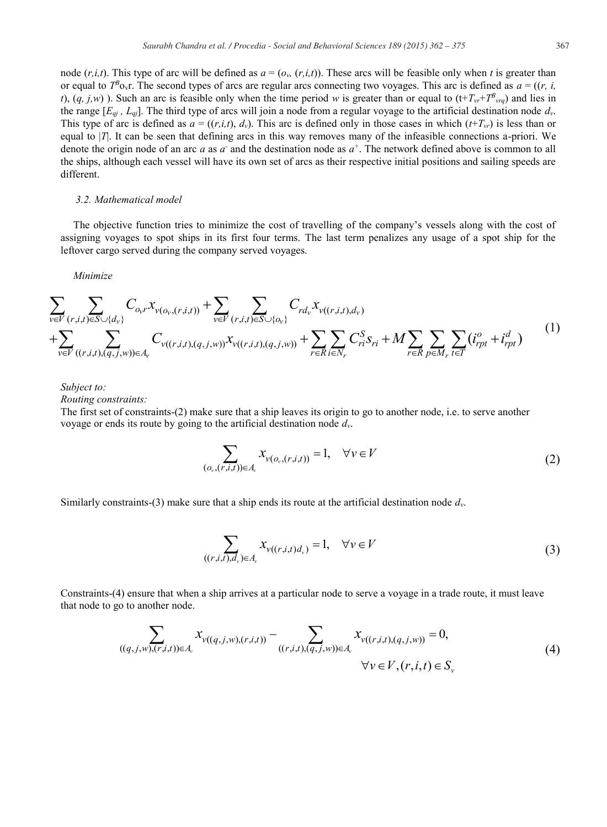node  $(r, i, t)$ . This type of arc will be defined as  $a = (o_v, (r, i, t))$ . These arcs will be feasible only when *t* is greater than or equal to  $T^B$ <sub>Ov</sub>r. The second types of arcs are regular arcs connecting two voyages. This arc is defined as  $a = ((r, i, j, k))$ *t*),  $(q, j, w)$  ). Such an arc is feasible only when the time period *w* is greater than or equal to  $(t+T_{vr}+T_{byrq})$  and lies in the range  $[E_{qj}, L_{qj}]$ . The third type of arcs will join a node from a regular voyage to the artificial destination node  $d_v$ . This type of arc is defined as  $a = ((r,i,t), d_v)$ . This arc is defined only in those cases in which  $(t+T_vr)$  is less than or equal to |*T*|. It can be seen that defining arcs in this way removes many of the infeasible connections a-priori. We denote the origin node of an arc *a* as *a*<sup>-</sup> and the destination node as  $a^+$ . The network defined above is common to all the ships, although each vessel will have its own set of arcs as their respective initial positions and sailing speeds are different.

### *3.2. Mathematical model*

The objective function tries to minimize the cost of travelling of the company's vessels along with the cost of assigning voyages to spot ships in its first four terms. The last term penalizes any usage of a spot ship for the leftover cargo served during the company served voyages.

*Minimize*

$$
\sum_{v \in V} \sum_{(r,i,t) \in S \cup \{d_v\}} C_{o_v r} x_{v(o_v,(r,i,t))} + \sum_{v \in V} \sum_{(r,i,t) \in S \cup \{o_v\}} C_{rd_v} x_{v((r,i,t),d_v)} \n+ \sum_{v \in V} \sum_{((r,i,t),(q,j,w)) \in A_v} C_{v((r,i,t),(q,j,w))} x_{v((r,i,t),(q,j,w))} + \sum_{r \in R} \sum_{i \in N_r} C_{ri}^S s_{ri} + M \sum_{r \in R} \sum_{p \in M_r} \sum_{t \in T} (i_{rpt}^o + i_{rpt}^d)
$$
\n(1)

*Subject to:*

*Routing constraints:*

The first set of constraints-(2) make sure that a ship leaves its origin to go to another node, i.e. to serve another voyage or ends its route by going to the artificial destination node *dv*.

$$
\sum_{(o_v,(r,i,t))\in A_v} x_{v(o_v,(r,i,t))} = 1, \quad \forall v \in V
$$
\n
$$
(2)
$$

Similarly constraints-(3) make sure that a ship ends its route at the artificial destination node *dv*.

$$
\sum_{((r,i,t),d_v)\in A_v} x_{\nu((r,i,t)d_v)} = 1, \quad \forall v \in V
$$
\n(3)

Constraints-(4) ensure that when a ship arrives at a particular node to serve a voyage in a trade route, it must leave that node to go to another node.

$$
\sum_{((q,j,w),(r,i,t))\in A_{\nu}} x_{\nu((q,j,w),(r,i,t))} - \sum_{((r,i,t),(q,j,w))\in A_{\nu}} x_{\nu((r,i,t),(q,j,w))} = 0,
$$
\n
$$
\forall \nu \in V, (r,i,t) \in S_{\nu}
$$
\n(4)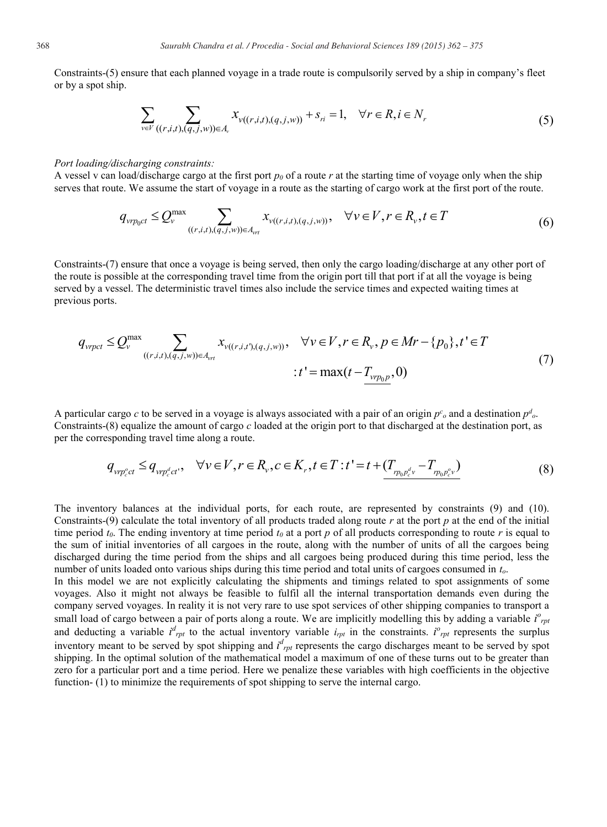Constraints-(5) ensure that each planned voyage in a trade route is compulsorily served by a ship in company's fleet or by a spot ship.

$$
\sum_{v \in V} \sum_{((r,i,t),(q,j,w)) \in A_v} x_{v((r,i,t),(q,j,w))} + s_{ri} = 1, \quad \forall r \in R, i \in N_r
$$
\n(5)

### *Port loading/discharging constraints:*

A vessel v can load/discharge cargo at the first port  $p_0$  of a route r at the starting time of voyage only when the ship serves that route. We assume the start of voyage in a route as the starting of cargo work at the first port of the route.

$$
q_{\nu r p_0 c t} \le Q_{\nu}^{\max} \sum_{((r,i,t),(q,j,w)) \in A_{\nu r}} x_{\nu((r,i,t),(q,j,w))}, \quad \forall \nu \in V, r \in R_{\nu}, t \in T
$$
 (6)

Constraints-(7) ensure that once a voyage is being served, then only the cargo loading/discharge at any other port of the route is possible at the corresponding travel time from the origin port till that port if at all the voyage is being served by a vessel. The deterministic travel times also include the service times and expected waiting times at previous ports.

$$
q_{vpt} \le Q_v^{\max} \sum_{((r,i,t),(q,j,w)) \in A_{vt}} x_{v((r,i,t'),(q,j,w))}, \quad \forall v \in V, r \in R_v, p \in Mr - \{p_0\}, t' \in T
$$
  
 
$$
\vdots t' = \max(t - T_{vtp_0p}, 0)
$$
 (7)

A particular cargo *c* to be served in a voyage is always associated with a pair of an origin  $p^c$ <sub>o</sub> and a destination  $p^d$ <sub>o</sub>. Constraints-(8) equalize the amount of cargo *c* loaded at the origin port to that discharged at the destination port, as per the corresponding travel time along a route.

$$
q_{v p_c^o c t} \leq q_{v p_c^d c t'}, \quad \forall v \in V, r \in R_v, c \in K_r, t \in T : t^* = t + \underbrace{(T_{p_0 p_c^d v} - T_{p_0 p_c^o v})}_{(3)}
$$

The inventory balances at the individual ports, for each route, are represented by constraints (9) and (10). Constraints-(9) calculate the total inventory of all products traded along route *r* at the port *p* at the end of the initial time period  $t_0$ . The ending inventory at time period  $t_0$  at a port  $p$  of all products corresponding to route  $r$  is equal to the sum of initial inventories of all cargoes in the route, along with the number of units of all the cargoes being discharged during the time period from the ships and all cargoes being produced during this time period, less the number of units loaded onto various ships during this time period and total units of cargoes consumed in *to*.

In this model we are not explicitly calculating the shipments and timings related to spot assignments of some voyages. Also it might not always be feasible to fulfil all the internal transportation demands even during the company served voyages. In reality it is not very rare to use spot services of other shipping companies to transport a small load of cargo between a pair of ports along a route. We are implicitly modelling this by adding a variable  $i^o_{\text{rpt}}$ and deducting a variable  $i^d_{rpt}$  to the actual inventory variable  $i_{rpt}$  in the constraints.  $i^o_{rpt}$  represents the surplus inventory meant to be served by spot shipping and  $i^d_{\text{rpt}}$  represents the cargo discharges meant to be served by spot shipping. In the optimal solution of the mathematical model a maximum of one of these turns out to be greater than zero for a particular port and a time period. Here we penalize these variables with high coefficients in the objective function- (1) to minimize the requirements of spot shipping to serve the internal cargo.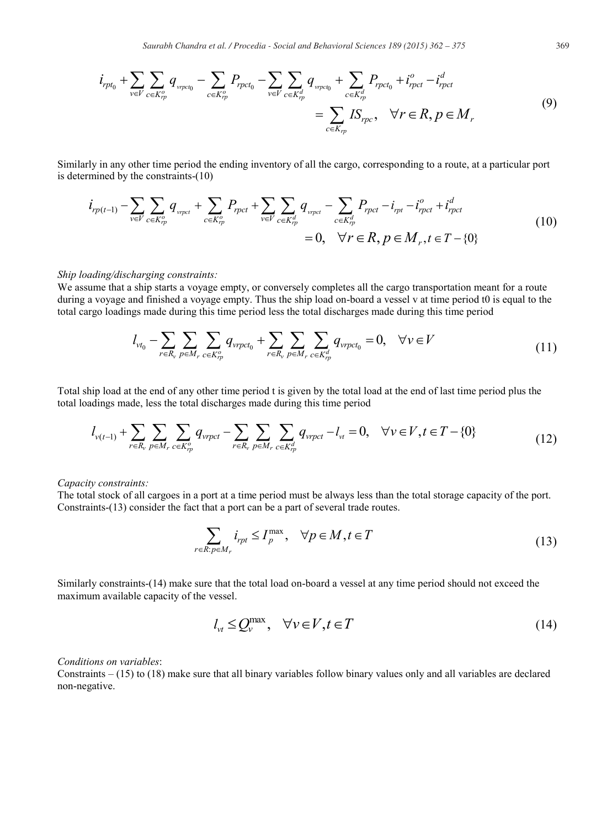$$
i_{rpt_0} + \sum_{v \in V} \sum_{c \in K_{rp}^o} q_{v_{rpct_0}} - \sum_{c \in K_{rp}^o} P_{rpct_0} - \sum_{v \in V} \sum_{c \in K_{rp}^d} q_{v_{rpct_0}} + \sum_{c \in K_{rp}^d} P_{rpct_0} + i_{rpct}^o - i_{rpct}^d
$$
  
= 
$$
\sum_{c \in K_{rp}} IS_{rpc}, \quad \forall r \in R, p \in M_r
$$
 (9)

Similarly in any other time period the ending inventory of all the cargo, corresponding to a route, at a particular port is determined by the constraints-(10)

$$
i_{rp(t-1)} - \sum_{v \in V} \sum_{c \in K_{rp}^o} q_{v_{rpct}} + \sum_{c \in K_{rp}^o} P_{rpct} + \sum_{v \in V} \sum_{c \in K_{rp}^d} q_{v_{rpct}} - \sum_{c \in K_{rp}^d} P_{rpct} - i_{rpt} - i_{rpct}^o + i_{rpct}^d
$$
  
= 0,  $\forall r \in R, p \in M_r, t \in T - \{0\}$  (10)

#### *Ship loading/discharging constraints:*

We assume that a ship starts a voyage empty, or conversely completes all the cargo transportation meant for a route during a voyage and finished a voyage empty. Thus the ship load on-board a vessel v at time period t0 is equal to the total cargo loadings made during this time period less the total discharges made during this time period

$$
l_{\nu t_0} - \sum_{r \in R_{\nu}} \sum_{p \in M_r} \sum_{c \in K_{rp}^o} q_{\nu r p c t_0} + \sum_{r \in R_{\nu}} \sum_{p \in M_r} \sum_{c \in K_{rp}^d} q_{\nu r p c t_0} = 0, \quad \forall \nu \in V
$$
\n(11)

Total ship load at the end of any other time period t is given by the total load at the end of last time period plus the total loadings made, less the total discharges made during this time period

$$
l_{v(t-1)} + \sum_{r \in R_v} \sum_{p \in M_r} \sum_{c \in K_p^o} q_{vppct} - \sum_{r \in R_v} \sum_{p \in M_r} \sum_{c \in K_p^d} q_{vppct} - l_{vt} = 0, \quad \forall v \in V, t \in T - \{0\}
$$
(12)

### *Capacity constraints:*

The total stock of all cargoes in a port at a time period must be always less than the total storage capacity of the port. Constraints-(13) consider the fact that a port can be a part of several trade routes.

$$
\sum_{r \in R: p \in M_r} i_{rpt} \le I_p^{\max}, \quad \forall p \in M, t \in T
$$
\n(13)

Similarly constraints-(14) make sure that the total load on-board a vessel at any time period should not exceed the maximum available capacity of the vessel.

$$
l_{\nu t} \le Q_{\nu}^{\max}, \quad \forall \nu \in V, t \in T
$$
\n<sup>(14)</sup>

## *Conditions on variables*:

Constraints – (15) to (18) make sure that all binary variables follow binary values only and all variables are declared non-negative.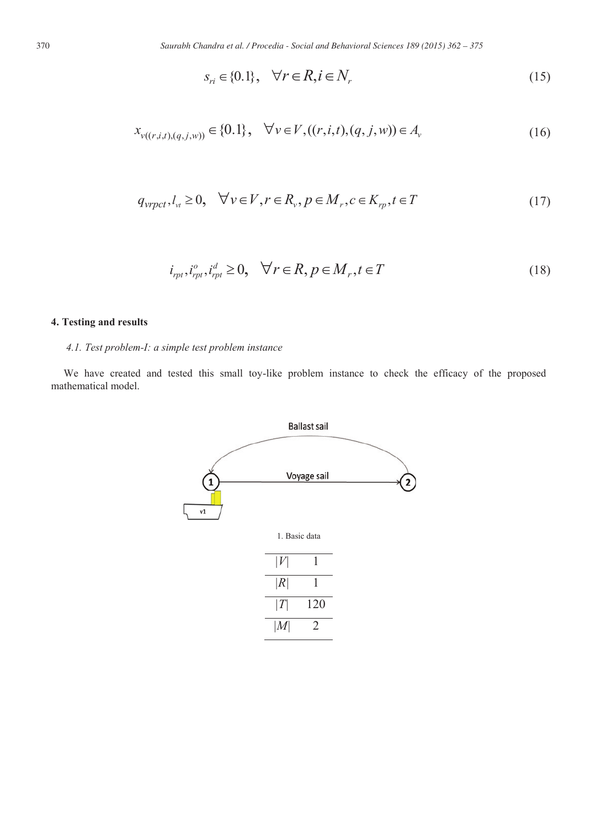$$
s_{ri} \in \{0.1\}, \quad \forall r \in R, i \in N_r \tag{15}
$$

$$
x_{\nu((r,i,t),(q,j,w))} \in \{0,1\}, \quad \forall \nu \in V, ((r,i,t),(q,j,w)) \in A_{\nu}
$$
\n(16)

$$
q_{\text{vrpct}}, l_{\text{v}} \ge 0, \quad \forall \nu \in V, r \in R_{\nu}, p \in M_{r}, c \in K_{\text{rp}}, t \in T
$$
\n
$$
(17)
$$

$$
i_{rpt}, i_{rpt}^o, i_{rpt}^d \ge 0, \quad \forall r \in R, p \in M_r, t \in T
$$
\n
$$
(18)
$$

# **4. Testing and results**

# *4.1. Test problem-I: a simple test problem instance*

We have created and tested this small toy-like problem instance to check the efficacy of the proposed mathematical model.

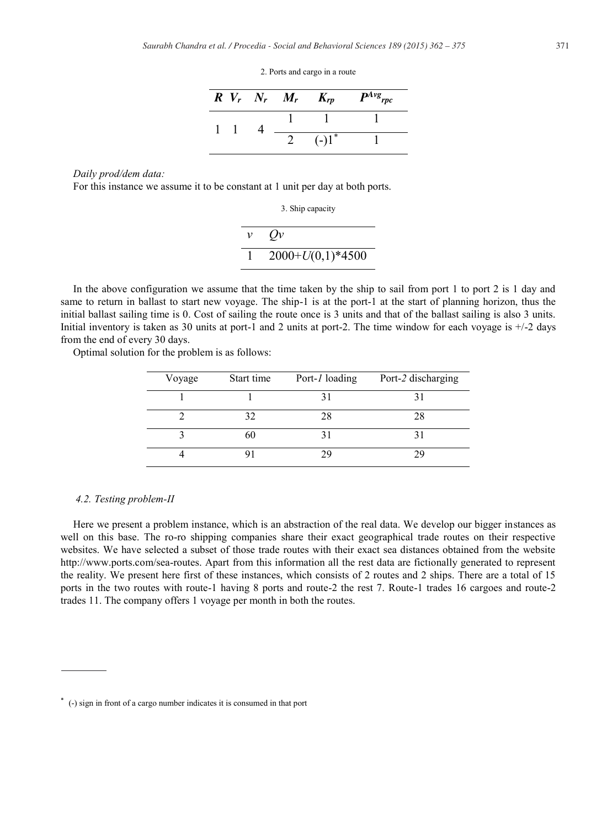2. Ports and cargo in a route

|  | $R V_r N_r M_r$ | $K_{rp}$ | $P^{Avg}$ rpc |
|--|-----------------|----------|---------------|
|  |                 |          |               |
|  |                 | $(-1)^*$ |               |

#### *Daily prod/dem data:*

For this instance we assume it to be constant at 1 unit per day at both ports.

3. Ship capacity

| $\mathcal V$ | Qv                 |
|--------------|--------------------|
|              | $2000+U(0,1)*4500$ |

In the above configuration we assume that the time taken by the ship to sail from port 1 to port 2 is 1 day and same to return in ballast to start new voyage. The ship-1 is at the port-1 at the start of planning horizon, thus the initial ballast sailing time is 0. Cost of sailing the route once is 3 units and that of the ballast sailing is also 3 units. Initial inventory is taken as 30 units at port-1 and 2 units at port-2. The time window for each voyage is  $+/2$  days from the end of every 30 days.

Optimal solution for the problem is as follows:

| Voyage | Start time | Port-1 loading | Port-2 discharging |
|--------|------------|----------------|--------------------|
|        |            |                |                    |
|        | 32         | 28             |                    |
|        | 60         |                |                    |
|        |            |                |                    |

## *4.2. Testing problem-II*

Here we present a problem instance, which is an abstraction of the real data. We develop our bigger instances as well on this base. The ro-ro shipping companies share their exact geographical trade routes on their respective websites. We have selected a subset of those trade routes with their exact sea distances obtained from the website http://www.ports.com/sea-routes. Apart from this information all the rest data are fictionally generated to represent the reality. We present here first of these instances, which consists of 2 routes and 2 ships. There are a total of 15 ports in the two routes with route-1 having 8 ports and route-2 the rest 7. Route-1 trades 16 cargoes and route-2 trades 11. The company offers 1 voyage per month in both the routes.

<sup>\*</sup> (-) sign in front of a cargo number indicates it is consumed in that port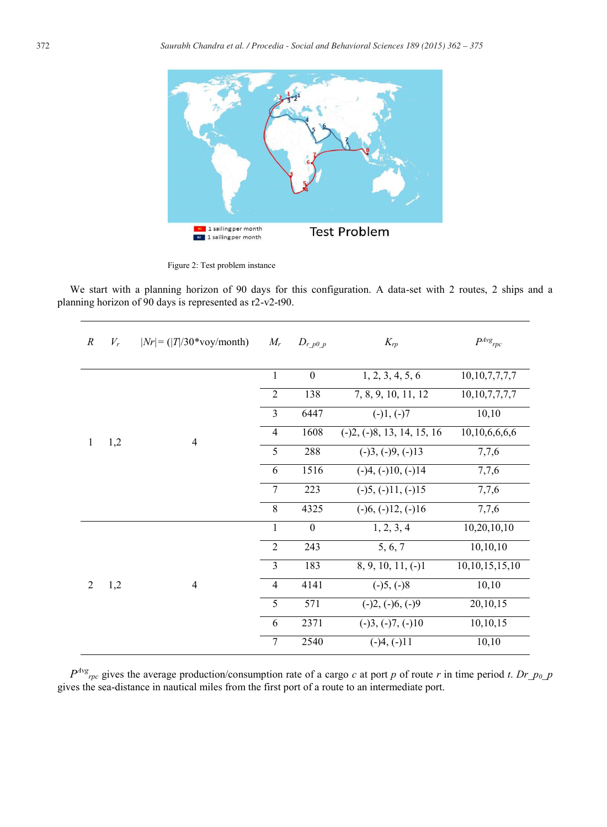

Figure 2: Test problem instance

We start with a planning horizon of 90 days for this configuration. A data-set with 2 routes, 2 ships and a planning horizon of 90 days is represented as r2-v2-t90.

| $\boldsymbol{R}$ | $V_r$ | $ Nr  = ( T /30* \text{voy/month})$ | $M_r$          | $D_{r,p0,p}$     | $K_{rp}$                     | $P^{Avg}$ rpc      |
|------------------|-------|-------------------------------------|----------------|------------------|------------------------------|--------------------|
|                  |       |                                     | $\mathbf{1}$   | $\boldsymbol{0}$ | 1, 2, 3, 4, 5, 6             | 10, 10, 7, 7, 7, 7 |
|                  | 1,2   | $\overline{4}$                      | $\overline{2}$ | 138              | 7, 8, 9, 10, 11, 12          | 10, 10, 7, 7, 7, 7 |
|                  |       |                                     | 3              | 6447             | $(-)1, (-)7$                 | 10,10              |
| $\mathbf{1}$     |       |                                     | 4              | 1608             | $(-)2, (-)8, 13, 14, 15, 16$ | 10,10,6,6,6,6      |
|                  |       |                                     | 5              | 288              | $(-)3, (-)9, (-)13$          | 7,7,6              |
|                  |       |                                     | 6              | 1516             | $(-)4, (-)10, (-)14$         | 7,7,6              |
|                  |       |                                     | 7              | 223              | $(-)5, (-)11, (-)15$         | 7,7,6              |
|                  |       |                                     | 8              | 4325             | $(-)6, (-)12, (-)16$         | 7,7,6              |
|                  |       |                                     | $\mathbf{1}$   | $\boldsymbol{0}$ | 1, 2, 3, 4                   | 10,20,10,10        |
| $\overline{2}$   |       |                                     | 2              | 243              | 5, 6, 7                      | 10, 10, 10         |
|                  |       |                                     | 3              | 183              | $8, 9, 10, 11, (-)1$         | 10, 10, 15, 15, 10 |
|                  | 1,2   | $\overline{4}$                      | $\overline{4}$ | 4141             | $(-)5, (-)8$                 | 10,10              |
|                  |       |                                     | 5              | 571              | $(-)2, (-)6, (-)9$           | 20,10,15           |
|                  |       |                                     | 6              | 2371             | $(-)3, (-)7, (-)10$          | 10,10,15           |
|                  |       |                                     | 7              | 2540             | $(-)4, (-)11$                | 10,10              |

 $P^{Avg}$ <sub>rpc</sub> gives the average production/consumption rate of a cargo *c* at port *p* of route *r* in time period *t*. *Dr\_p<sub>0\_</sub>p* gives the sea-distance in nautical miles from the first port of a route to an intermediate port.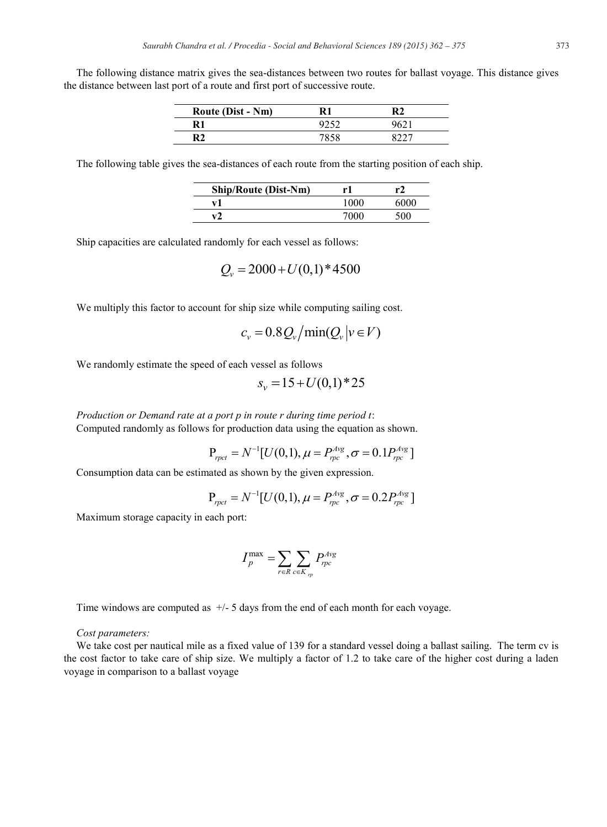The following distance matrix gives the sea-distances between two routes for ballast voyage. This distance gives the distance between last port of a route and first port of successive route.

| <b>Route (Dist - Nm)</b> |      |  |
|--------------------------|------|--|
| R1                       |      |  |
| R2                       | 7050 |  |

The following table gives the sea-distances of each route from the starting position of each ship.

| <b>Ship/Route (Dist-Nm)</b> | rì   | r2   |
|-----------------------------|------|------|
| v1                          | 1000 | 6000 |
|                             | 7000 | 500  |

Ship capacities are calculated randomly for each vessel as follows:

$$
Q_v = 2000 + U(0,1) * 4500
$$

We multiply this factor to account for ship size while computing sailing cost.

$$
c_v = 0.8 Q_v / \text{min}(Q_v | v \in V)
$$

We randomly estimate the speed of each vessel as follows

$$
s_v = 15 + U(0,1) * 25
$$

*Production or Demand rate at a port p in route r during time period t*: Computed randomly as follows for production data using the equation as shown.

$$
P_{\text{rpc}t} = N^{-1}[U(0,1), \mu = P_{\text{rpc}}^{\text{Avg}}, \sigma = 0.1 P_{\text{rpc}}^{\text{Avg}}]
$$

Consumption data can be estimated as shown by the given expression.

$$
P_{\text{rpet}} = N^{-1}[U(0,1), \mu = P_{\text{rpc}}^{\text{Avg}}, \sigma = 0.2 P_{\text{rpc}}^{\text{Avg}}]
$$

Maximum storage capacity in each port:

$$
I_p^{\max} = \sum_{r \in R} \sum_{c \in K_{rp}} P_{rpc}^{Avg}
$$

Time windows are computed as +/- 5 days from the end of each month for each voyage.

*Cost parameters:*

We take cost per nautical mile as a fixed value of 139 for a standard vessel doing a ballast sailing. The term cv is the cost factor to take care of ship size. We multiply a factor of 1.2 to take care of the higher cost during a laden voyage in comparison to a ballast voyage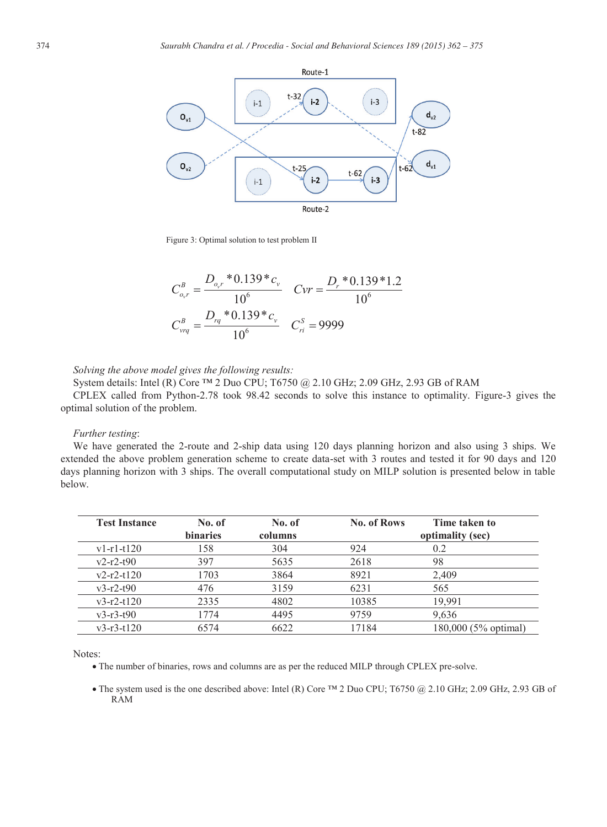

Figure 3: Optimal solution to test problem II

$$
C_{o,r}^{B} = \frac{D_{o,r} * 0.139 * c_{v}}{10^{6}}
$$
 
$$
Cvr = \frac{D_{r} * 0.139 * 1.2}{10^{6}}
$$

$$
C_{vrq}^{B} = \frac{D_{rq} * 0.139 * c_{v}}{10^{6}}
$$
 
$$
C_{ri}^{S} = 9999
$$

*Solving the above model gives the following results:* 

System details: Intel (R) Core ™ 2 Duo CPU; T6750 @ 2.10 GHz; 2.09 GHz, 2.93 GB of RAM

CPLEX called from Python-2.78 took 98.42 seconds to solve this instance to optimality. Figure-3 gives the optimal solution of the problem.

### *Further testing*:

We have generated the 2-route and 2-ship data using 120 days planning horizon and also using 3 ships. We extended the above problem generation scheme to create data-set with 3 routes and tested it for 90 days and 120 days planning horizon with 3 ships. The overall computational study on MILP solution is presented below in table below.

| <b>Test Instance</b> | No. of<br><b>binaries</b> | No. of<br>columns | <b>No. of Rows</b> | Time taken to<br>optimality (sec) |
|----------------------|---------------------------|-------------------|--------------------|-----------------------------------|
| $v1-r1-t120$         | 158                       | 304               | 924                | 0.2                               |
| $v2-r2-t90$          | 397                       | 5635              | 2618               | 98                                |
| $v2-r2-t120$         | 1703                      | 3864              | 8921               | 2,409                             |
| $v3-r2-t90$          | 476                       | 3159              | 6231               | 565                               |
| $v3-r2-t120$         | 2335                      | 4802              | 10385              | 19.991                            |
| $v3-r3-t90$          | 1774                      | 4495              | 9759               | 9.636                             |
| $v3-r3-t120$         | 6574                      | 6622              | 17184              | 180,000 (5% optimal)              |

Notes:

x The number of binaries, rows and columns are as per the reduced MILP through CPLEX pre-solve.

• The system used is the one described above: Intel (R) Core ™ 2 Duo CPU; T6750 @ 2.10 GHz; 2.09 GHz, 2.93 GB of RAM